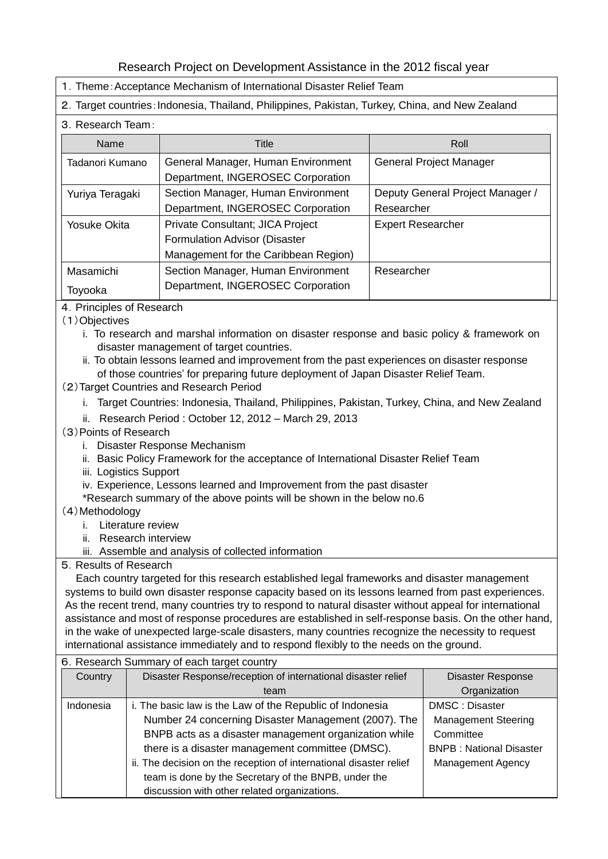## Research Project on Development Assistance in the 2012 fiscal year

- 1.Theme:Acceptance Mechanism of International Disaster Relief Team
- 2. Target countries: Indonesia, Thailand, Philippines, Pakistan, Turkey, China, and New Zealand
- 3.Research Team:

| <b>Name</b>     | Title                                | Roll                             |  |
|-----------------|--------------------------------------|----------------------------------|--|
| Tadanori Kumano | General Manager, Human Environment   | General Project Manager          |  |
|                 | Department, INGEROSEC Corporation    |                                  |  |
| Yuriya Teragaki | Section Manager, Human Environment   | Deputy General Project Manager / |  |
|                 | Department, INGEROSEC Corporation    | Researcher                       |  |
| Yosuke Okita    | Private Consultant; JICA Project     | <b>Expert Researcher</b>         |  |
|                 | Formulation Advisor (Disaster        |                                  |  |
|                 | Management for the Caribbean Region) |                                  |  |
| Masamichi       | Section Manager, Human Environment   | Researcher                       |  |
| Toyooka         | Department, INGEROSEC Corporation    |                                  |  |

- 4.Principles of Research
- (1)Objectives
	- i. To research and marshal information on disaster response and basic policy & framework on disaster management of target countries.
	- ii. To obtain lessons learned and improvement from the past experiences on disaster response of those countries' for preparing future deployment of Japan Disaster Relief Team.
- (2)Target Countries and Research Period
	- i. Target Countries: Indonesia, Thailand, Philippines, Pakistan, Turkey, China, and New Zealand
	- ii. Research Period : October 12, 2012 March 29, 2013
- (3)Points of Research
	- i. Disaster Response Mechanism
	- ii. Basic Policy Framework for the acceptance of International Disaster Relief Team
	- iii. Logistics Support
	- iv. Experience, Lessons learned and Improvement from the past disaster
	- \*Research summary of the above points will be shown in the below no.6
- (4)Methodology
	- i. Literature review
	- ii. Research interview
	- iii. Assemble and analysis of collected information
- 5.Results of Research

Each country targeted for this research established legal frameworks and disaster management systems to build own disaster response capacity based on its lessons learned from past experiences. As the recent trend, many countries try to respond to natural disaster without appeal for international assistance and most of response procedures are established in self-response basis. On the other hand, in the wake of unexpected large-scale disasters, many countries recognize the necessity to request international assistance immediately and to respond flexibly to the needs on the ground.

|           | 6. Research Summary of each target country                         |                                |  |  |  |
|-----------|--------------------------------------------------------------------|--------------------------------|--|--|--|
| Country   | Disaster Response/reception of international disaster relief       | <b>Disaster Response</b>       |  |  |  |
|           | team                                                               | Organization                   |  |  |  |
| Indonesia | i. The basic law is the Law of the Republic of Indonesia           | DMSC: Disaster                 |  |  |  |
|           | Number 24 concerning Disaster Management (2007). The               | <b>Management Steering</b>     |  |  |  |
|           | BNPB acts as a disaster management organization while              | Committee                      |  |  |  |
|           | there is a disaster management committee (DMSC).                   | <b>BNPB: National Disaster</b> |  |  |  |
|           | ii. The decision on the reception of international disaster relief | <b>Management Agency</b>       |  |  |  |
|           | team is done by the Secretary of the BNPB, under the               |                                |  |  |  |
|           | discussion with other related organizations.                       |                                |  |  |  |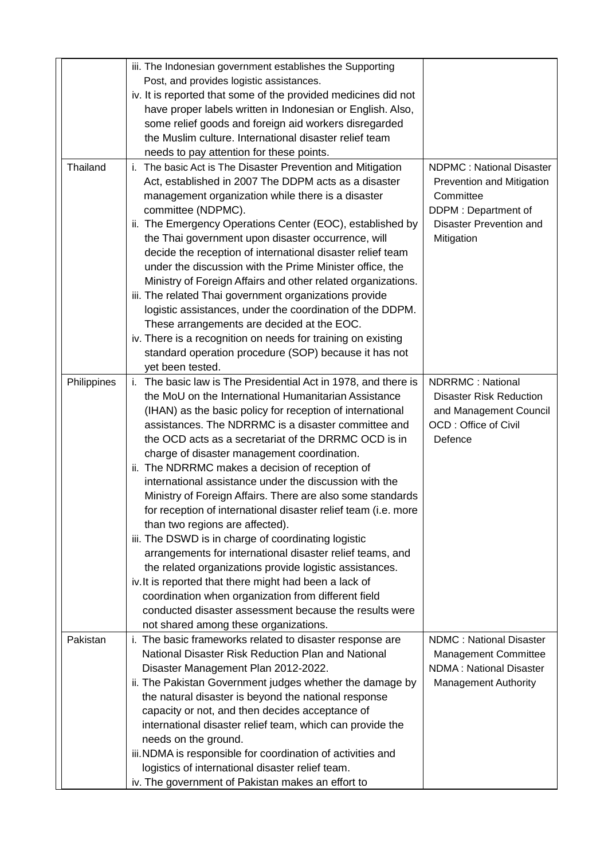|             | iii. The Indonesian government establishes the Supporting      |                                 |
|-------------|----------------------------------------------------------------|---------------------------------|
|             | Post, and provides logistic assistances.                       |                                 |
|             | iv. It is reported that some of the provided medicines did not |                                 |
|             | have proper labels written in Indonesian or English. Also,     |                                 |
|             | some relief goods and foreign aid workers disregarded          |                                 |
|             | the Muslim culture. International disaster relief team         |                                 |
|             | needs to pay attention for these points.                       |                                 |
| Thailand    | i. The basic Act is The Disaster Prevention and Mitigation     | <b>NDPMC: National Disaster</b> |
|             | Act, established in 2007 The DDPM acts as a disaster           | Prevention and Mitigation       |
|             | management organization while there is a disaster              | Committee                       |
|             | committee (NDPMC).                                             | DDPM: Department of             |
|             | ii. The Emergency Operations Center (EOC), established by      | Disaster Prevention and         |
|             | the Thai government upon disaster occurrence, will             | Mitigation                      |
|             | decide the reception of international disaster relief team     |                                 |
|             | under the discussion with the Prime Minister office, the       |                                 |
|             | Ministry of Foreign Affairs and other related organizations.   |                                 |
|             | iii. The related Thai government organizations provide         |                                 |
|             | logistic assistances, under the coordination of the DDPM.      |                                 |
|             | These arrangements are decided at the EOC.                     |                                 |
|             | iv. There is a recognition on needs for training on existing   |                                 |
|             | standard operation procedure (SOP) because it has not          |                                 |
|             | yet been tested.                                               |                                 |
| Philippines | i. The basic law is The Presidential Act in 1978, and there is | NDRRMC: National                |
|             | the MoU on the International Humanitarian Assistance           | <b>Disaster Risk Reduction</b>  |
|             | (IHAN) as the basic policy for reception of international      | and Management Council          |
|             | assistances. The NDRRMC is a disaster committee and            | OCD: Office of Civil            |
|             | the OCD acts as a secretariat of the DRRMC OCD is in           | Defence                         |
|             | charge of disaster management coordination.                    |                                 |
|             | ii. The NDRRMC makes a decision of reception of                |                                 |
|             | international assistance under the discussion with the         |                                 |
|             | Ministry of Foreign Affairs. There are also some standards     |                                 |
|             | for reception of international disaster relief team (i.e. more |                                 |
|             | than two regions are affected).                                |                                 |
|             | iii. The DSWD is in charge of coordinating logistic            |                                 |
|             | arrangements for international disaster relief teams, and      |                                 |
|             | the related organizations provide logistic assistances.        |                                 |
|             | iv. It is reported that there might had been a lack of         |                                 |
|             | coordination when organization from different field            |                                 |
|             | conducted disaster assessment because the results were         |                                 |
|             | not shared among these organizations.                          |                                 |
| Pakistan    | i. The basic frameworks related to disaster response are       | <b>NDMC: National Disaster</b>  |
|             | National Disaster Risk Reduction Plan and National             | <b>Management Committee</b>     |
|             | Disaster Management Plan 2012-2022.                            | <b>NDMA: National Disaster</b>  |
|             | ii. The Pakistan Government judges whether the damage by       | <b>Management Authority</b>     |
|             | the natural disaster is beyond the national response           |                                 |
|             | capacity or not, and then decides acceptance of                |                                 |
|             | international disaster relief team, which can provide the      |                                 |
|             | needs on the ground.                                           |                                 |
|             | iii. NDMA is responsible for coordination of activities and    |                                 |
|             | logistics of international disaster relief team.               |                                 |
|             | iv. The government of Pakistan makes an effort to              |                                 |
|             |                                                                |                                 |